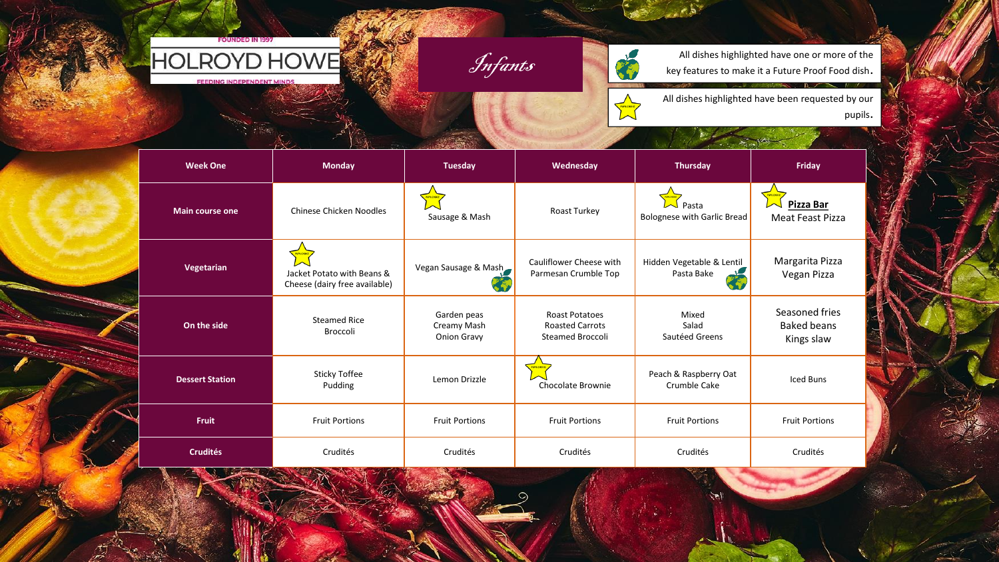

Infants

All dishes highlighted have one or more of the key features to make it a Future Proof Food dish.

All dishes highlighted have been requested by our pupils.

| <b>Week One</b>        | <b>Monday</b>                                               | <b>Tuesday</b>                            | Wednesday                                                                  | <b>Thursday</b>                             | <b>Friday</b>                                      |
|------------------------|-------------------------------------------------------------|-------------------------------------------|----------------------------------------------------------------------------|---------------------------------------------|----------------------------------------------------|
| <b>Main course one</b> | Chinese Chicken Noodles                                     | Sausage & Mash                            | Roast Turkey                                                               | Pasta<br><b>Bolognese with Garlic Bread</b> | Pizza Bar<br>Meat Feast Pizza                      |
| Vegetarian             | Jacket Potato with Beans &<br>Cheese (dairy free available) | Vegan Sausage & Mash                      | Cauliflower Cheese with<br>Parmesan Crumble Top                            | Hidden Vegetable & Lentil<br>Pasta Bake     | Margarita Pizza<br>Vegan Pizza                     |
| On the side            | <b>Steamed Rice</b><br><b>Broccoli</b>                      | Garden peas<br>Creamy Mash<br>Onion Gravy | <b>Roast Potatoes</b><br><b>Roasted Carrots</b><br><b>Steamed Broccoli</b> | Mixed<br>Salad<br>Sautéed Greens            | Seasoned fries<br><b>Baked beans</b><br>Kings slaw |
| <b>Dessert Station</b> | <b>Sticky Toffee</b><br>Pudding                             | Lemon Drizzle                             | Chocolate Brownie                                                          | Peach & Raspberry Oat<br>Crumble Cake       | Iced Buns                                          |
| <b>Fruit</b>           | <b>Fruit Portions</b>                                       | <b>Fruit Portions</b>                     | <b>Fruit Portions</b>                                                      | <b>Fruit Portions</b>                       | <b>Fruit Portions</b>                              |
| <b>Crudités</b>        | Crudités                                                    | Crudités                                  | Crudités                                                                   | Crudités                                    | Crudités                                           |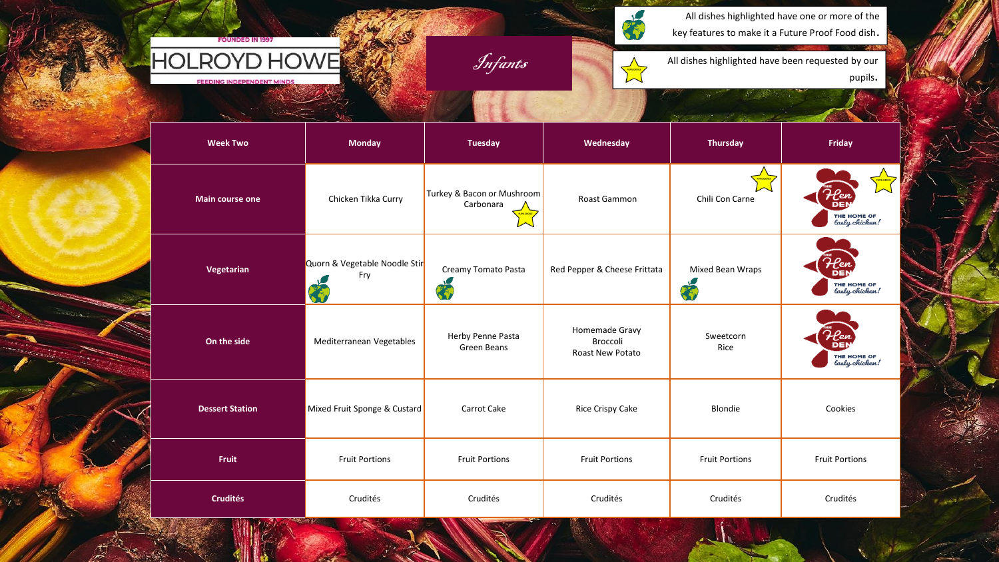